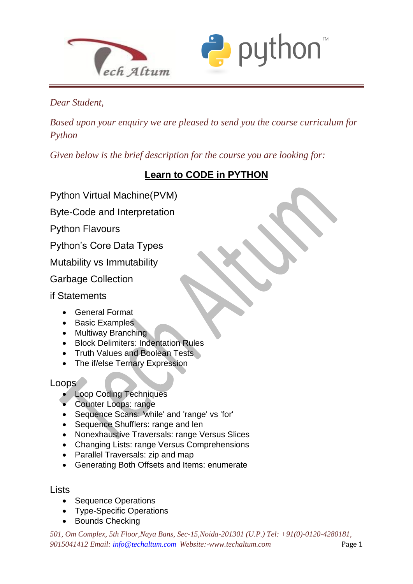



## *Dear Student,*

 $\overline{a}$ 

*Based upon your enquiry we are pleased to send you the course curriculum for Python*

*Given below is the brief description for the course you are looking for:*

## **Learn to CODE in PYTHON**

Python Virtual Machine(PVM)

Byte-Code and Interpretation

Python Flavours

Python's Core Data Types

Mutability vs Immutability

Garbage Collection

if Statements

- General Format
- Basic Examples
- Multiway Branching
- **Block Delimiters: Indentation Rules**
- Truth Values and Boolean Tests
- The if/else Ternary Expression

Loops

- Loop Coding Techniques
- Counter Loops: range
- Sequence Scans: 'while' and 'range' vs 'for'
- Sequence Shufflers: range and len
- Nonexhaustive Traversals: range Versus Slices
- Changing Lists: range Versus Comprehensions
- Parallel Traversals: zip and map
- Generating Both Offsets and Items: enumerate

#### **Lists**

- Sequence Operations
- Type-Specific Operations
- Bounds Checking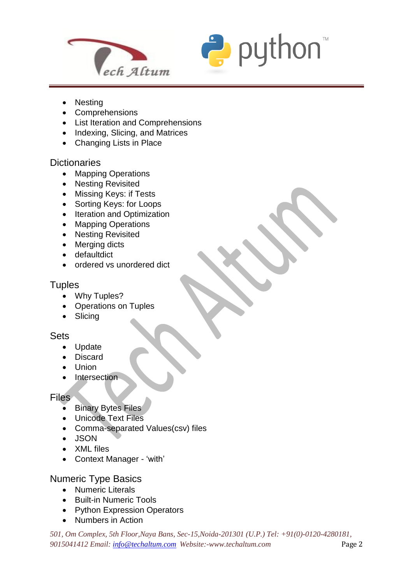



• Nesting

 $\overline{a}$ 

- Comprehensions
- List Iteration and Comprehensions
- Indexing, Slicing, and Matrices
- Changing Lists in Place

#### **Dictionaries**

- Mapping Operations
- Nesting Revisited
- Missing Keys: if Tests
- Sorting Keys: for Loops
- Iteration and Optimization
- Mapping Operations
- Nesting Revisited
- Merging dicts
- **•** defaultdict
- ordered vs unordered dict

#### **Tuples**

- Why Tuples?
- Operations on Tuples
- Slicina

#### Sets

- Update
- Discard
- Union
- Intersection

#### Files

- Binary Bytes Files
- Unicode Text Files
- Comma-separated Values(csv) files
- JSON
- XML files
- Context Manager 'with'

## Numeric Type Basics

- Numeric Literals
- Built-in Numeric Tools
- Python Expression Operators
- Numbers in Action

*501, Om Complex, 5th Floor,Naya Bans, Sec-15,Noida-201301 (U.P.) Tel: +91(0)-0120-4280181, 9015041412 Email: [info@techaltum.com](mailto:info@techaltum.com) Website:-www.techaltum.com* Page 2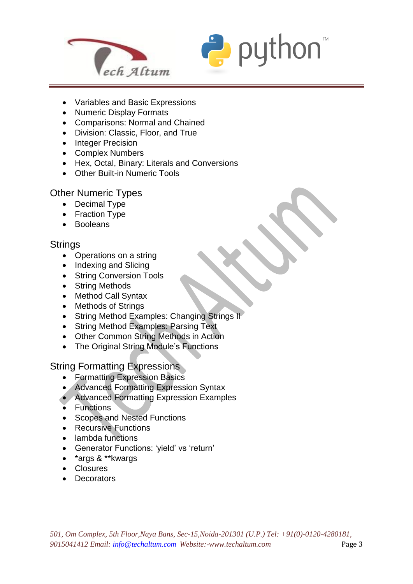



- Variables and Basic Expressions
- Numeric Display Formats
- Comparisons: Normal and Chained
- Division: Classic, Floor, and True
- Integer Precision
- Complex Numbers
- Hex, Octal, Binary: Literals and Conversions
- Other Built-in Numeric Tools

#### Other Numeric Types

- Decimal Type
- Fraction Type
- Booleans

#### **Strings**

 $\overline{a}$ 

- Operations on a string
- Indexing and Slicing
- String Conversion Tools
- String Methods
- Method Call Syntax
- Methods of Strings
- String Method Examples: Changing Strings II
- String Method Examples: Parsing Text
- Other Common String Methods in Action
- The Original String Module's Functions

#### String Formatting Expressions

- Formatting Expression Basics
- Advanced Formatting Expression Syntax
- Advanced Formatting Expression Examples
- Functions
- Scopes and Nested Functions
- Recursive Functions
- lambda functions
- Generator Functions: 'yield' vs 'return'
- \*args & \*\*kwargs
- Closures
- Decorators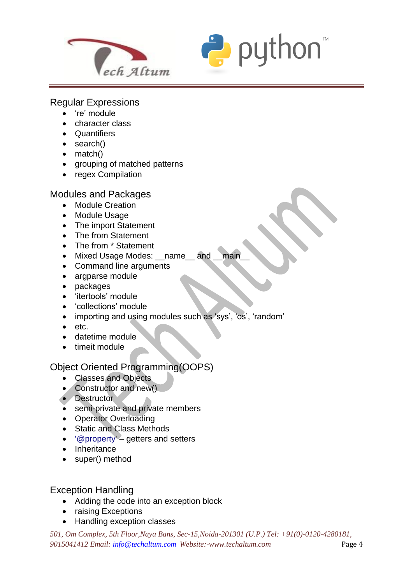



#### Regular Expressions

're' module

 $\overline{a}$ 

- character class
- Quantifiers
- search()
- match()
- grouping of matched patterns
- regex Compilation

#### Modules and Packages

- Module Creation
- Module Usage
- The import Statement
- The from Statement
- The from \* Statement
- Mixed Usage Modes: name and main
- Command line arguments
- argparse module
- packages
- 'itertools' module
- 'collections' module
- importing and using modules such as 'sys', 'os', 'random'
- etc.
- datetime module
- timeit module

## Object Oriented Programming(OOPS)

- Classes and Objects
- Constructor and new()
- Destructor
- semi-private and private members
- Operator Overloading
- Static and Class Methods
- '@property' getters and setters
- Inheritance
- super() method

#### Exception Handling

- Adding the code into an exception block
- raising Exceptions
- Handling exception classes

*501, Om Complex, 5th Floor,Naya Bans, Sec-15,Noida-201301 (U.P.) Tel: +91(0)-0120-4280181, 9015041412 Email: [info@techaltum.com](mailto:info@techaltum.com) Website:-www.techaltum.com* Page 4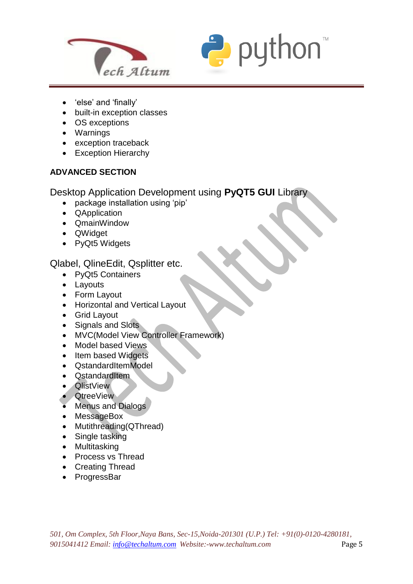



- 'else' and 'finally'
- built-in exception classes
- OS exceptions
- Warnings

 $\overline{a}$ 

- exception traceback
- Exception Hierarchy

#### **ADVANCED SECTION**

Desktop Application Development using **PyQT5 GUI** Library

- package installation using 'pip'
- QApplication
- QmainWindow
- QWidget
- PyQt5 Widgets

#### Qlabel, QlineEdit, Qsplitter etc.

- PyQt5 Containers
- Layouts
- Form Layout
- Horizontal and Vertical Layout
- Grid Layout
- Signals and Slots
- MVC(Model View Controller Framework)
- Model based Views
- Item based Widgets
- QstandardItemModel
- QstandardItem
- QlistView
- QtreeView
- Menus and Dialogs
- MessageBox
- Mutithreading(QThread)
- Single tasking
- Multitasking
- Process vs Thread
- Creating Thread
- ProgressBar